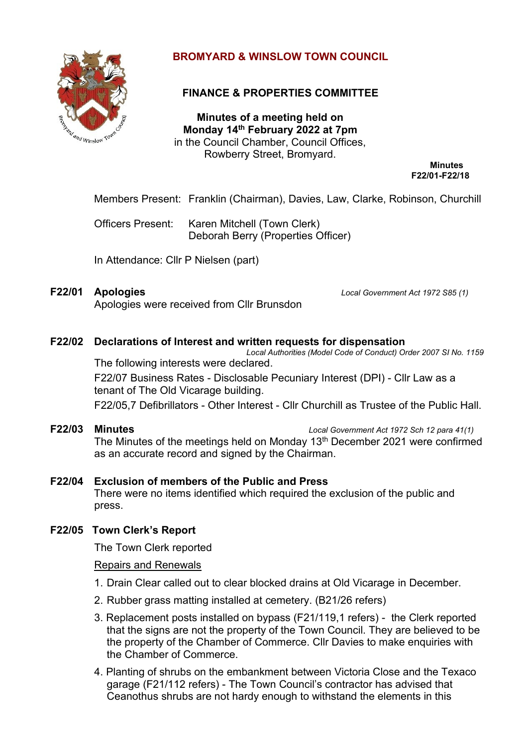

# **BROMYARD & WINSLOW TOWN COUNCIL**

# **FINANCE & PROPERTIES COMMITTEE**

**Minutes of a meeting held on Monday 14th February 2022 at 7pm** in the Council Chamber, Council Offices, Rowberry Street, Bromyard.

**Minutes F22/01-F22/18**

Members Present: Franklin (Chairman), Davies, Law, Clarke, Robinson, Churchill

Officers Present: Karen Mitchell (Town Clerk) Deborah Berry (Properties Officer)

In Attendance: Cllr P Nielsen (part)

Apologies were received from Cllr Brunsdon

**F22/01 Apologies** *Local Government Act 1972 S85 (1)*

# **F22/02 Declarations of Interest and written requests for dispensation**

*Local Authorities (Model Code of Conduct) Order 2007 SI No. 1159* The following interests were declared.

F22/07 Business Rates - Disclosable Pecuniary Interest (DPI) - Cllr Law as a tenant of The Old Vicarage building.

F22/05,7 Defibrillators - Other Interest - Cllr Churchill as Trustee of the Public Hall.

**F22/03 Minutes** *Local Government Act 1972 Sch 12 para 41(1)*

The Minutes of the meetings held on Monday 13<sup>th</sup> December 2021 were confirmed as an accurate record and signed by the Chairman.

# **F22/04 Exclusion of members of the Public and Press**

 There were no items identified which required the exclusion of the public and press.

# **F22/05 Town Clerk's Report**

The Town Clerk reported

#### Repairs and Renewals

- 1. Drain Clear called out to clear blocked drains at Old Vicarage in December.
- 2. Rubber grass matting installed at cemetery. (B21/26 refers)
- 3. Replacement posts installed on bypass (F21/119,1 refers) the Clerk reported that the signs are not the property of the Town Council. They are believed to be the property of the Chamber of Commerce. Cllr Davies to make enquiries with the Chamber of Commerce.
- 4. Planting of shrubs on the embankment between Victoria Close and the Texaco garage (F21/112 refers) - The Town Council's contractor has advised that Ceanothus shrubs are not hardy enough to withstand the elements in this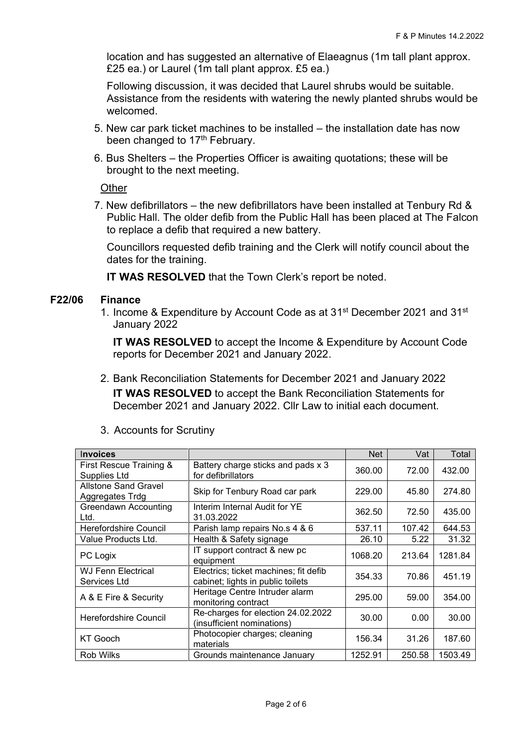location and has suggested an alternative of Elaeagnus (1m tall plant approx. £25 ea.) or Laurel (1m tall plant approx. £5 ea.)

Following discussion, it was decided that Laurel shrubs would be suitable. Assistance from the residents with watering the newly planted shrubs would be welcomed.

- 5. New car park ticket machines to be installed the installation date has now been changed to 17<sup>th</sup> February.
- 6. Bus Shelters the Properties Officer is awaiting quotations; these will be brought to the next meeting.

**Other** 

7. New defibrillators – the new defibrillators have been installed at Tenbury Rd & Public Hall. The older defib from the Public Hall has been placed at The Falcon to replace a defib that required a new battery.

Councillors requested defib training and the Clerk will notify council about the dates for the training.

**IT WAS RESOLVED** that the Town Clerk's report be noted.

## **F22/06 Finance**

1. Income & Expenditure by Account Code as at 31<sup>st</sup> December 2021 and 31<sup>st</sup> January 2022

**IT WAS RESOLVED** to accept the Income & Expenditure by Account Code reports for December 2021 and January 2022.

2. Bank Reconciliation Statements for December 2021 and January 2022 **IT WAS RESOLVED** to accept the Bank Reconciliation Statements for December 2021 and January 2022. Cllr Law to initial each document.

| <b>Invoices</b>                                |                                                                            | Net     | Vat    | Total   |
|------------------------------------------------|----------------------------------------------------------------------------|---------|--------|---------|
| First Rescue Training &<br>Supplies Ltd        | Battery charge sticks and pads x 3<br>for defibrillators                   | 360.00  | 72.00  | 432.00  |
| <b>Allstone Sand Gravel</b><br>Aggregates Trdg | Skip for Tenbury Road car park                                             | 229.00  | 45.80  | 274.80  |
| <b>Greendawn Accounting</b><br>Ltd.            | Interim Internal Audit for YE<br>31.03.2022                                | 362.50  | 72.50  | 435.00  |
| <b>Herefordshire Council</b>                   | Parish lamp repairs No.s 4 & 6                                             | 537.11  | 107.42 | 644.53  |
| Value Products Ltd.                            | Health & Safety signage                                                    | 26.10   | 5.22   | 31.32   |
| PC Logix                                       | IT support contract & new pc<br>equipment                                  | 1068.20 | 213.64 | 1281.84 |
| <b>WJ Fenn Electrical</b><br>Services Ltd      | Electrics; ticket machines; fit defib<br>cabinet; lights in public toilets | 354.33  | 70.86  | 451.19  |
| A & E Fire & Security                          | Heritage Centre Intruder alarm<br>monitoring contract                      | 295.00  | 59.00  | 354.00  |
| Herefordshire Council                          | Re-charges for election 24.02.2022<br>(insufficient nominations)           | 30.00   | 0.00   | 30.00   |
| <b>KT</b> Gooch                                | Photocopier charges; cleaning<br>materials                                 | 156.34  | 31.26  | 187.60  |
| <b>Rob Wilks</b>                               | Grounds maintenance January                                                | 1252.91 | 250.58 | 1503.49 |

3. Accounts for Scrutiny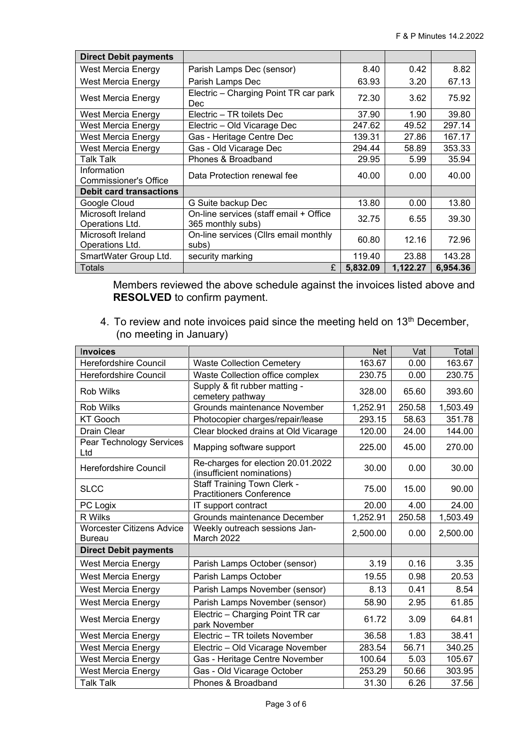| <b>Direct Debit payments</b>                |                                                             |          |          |          |
|---------------------------------------------|-------------------------------------------------------------|----------|----------|----------|
| <b>West Mercia Energy</b>                   | Parish Lamps Dec (sensor)                                   | 8.40     | 0.42     | 8.82     |
| <b>West Mercia Energy</b>                   | Parish Lamps Dec                                            | 63.93    | 3.20     | 67.13    |
| West Mercia Energy                          | Electric - Charging Point TR car park<br>Dec                | 72.30    | 3.62     | 75.92    |
| West Mercia Energy                          | Electric – TR toilets Dec                                   | 37.90    | 1.90     | 39.80    |
| West Mercia Energy                          | Electric - Old Vicarage Dec                                 | 247.62   | 49.52    | 297.14   |
| <b>West Mercia Energy</b>                   | Gas - Heritage Centre Dec                                   | 139.31   | 27.86    | 167.17   |
| West Mercia Energy                          | Gas - Old Vicarage Dec                                      | 294.44   | 58.89    | 353.33   |
| Talk Talk                                   | Phones & Broadband                                          | 29.95    | 5.99     | 35.94    |
| Information<br><b>Commissioner's Office</b> | Data Protection renewal fee                                 | 40.00    | 0.00     | 40.00    |
| <b>Debit card transactions</b>              |                                                             |          |          |          |
| Google Cloud                                | G Suite backup Dec                                          | 13.80    | 0.00     | 13.80    |
| Microsoft Ireland<br>Operations Ltd.        | On-line services (staff email + Office<br>365 monthly subs) | 32.75    | 6.55     | 39.30    |
| Microsoft Ireland<br>Operations Ltd.        | On-line services (Cllrs email monthly<br>subs)              | 60.80    | 12.16    | 72.96    |
| SmartWater Group Ltd.                       | security marking                                            | 119.40   | 23.88    | 143.28   |
| <b>Totals</b>                               | £                                                           | 5,832.09 | 1,122.27 | 6,954.36 |

Members reviewed the above schedule against the invoices listed above and **RESOLVED** to confirm payment.

4. To review and note invoices paid since the meeting held on 13<sup>th</sup> December, (no meeting in January)

| Invoices                                          |                                                                       | <b>Net</b> | Vat    | Total    |
|---------------------------------------------------|-----------------------------------------------------------------------|------------|--------|----------|
| <b>Herefordshire Council</b>                      | <b>Waste Collection Cemetery</b>                                      | 163.67     | 0.00   | 163.67   |
| <b>Herefordshire Council</b>                      | Waste Collection office complex                                       | 230.75     | 0.00   | 230.75   |
| <b>Rob Wilks</b>                                  | Supply & fit rubber matting -<br>cemetery pathway                     | 328.00     | 65.60  | 393.60   |
| <b>Rob Wilks</b>                                  | Grounds maintenance November                                          | 1,252.91   | 250.58 | 1,503.49 |
| <b>KT Gooch</b>                                   | Photocopier charges/repair/lease                                      | 293.15     | 58.63  | 351.78   |
| Drain Clear                                       | Clear blocked drains at Old Vicarage                                  | 120.00     | 24.00  | 144.00   |
| Pear Technology Services<br>Ltd                   | Mapping software support                                              | 225.00     | 45.00  | 270.00   |
| <b>Herefordshire Council</b>                      | Re-charges for election 20.01.2022<br>(insufficient nominations)      | 30.00      | 0.00   | 30.00    |
| <b>SLCC</b>                                       | <b>Staff Training Town Clerk -</b><br><b>Practitioners Conference</b> | 75.00      | 15.00  | 90.00    |
| PC Logix                                          | IT support contract                                                   | 20.00      | 4.00   | 24.00    |
| R Wilks                                           | Grounds maintenance December                                          | 1,252.91   | 250.58 | 1,503.49 |
| <b>Worcester Citizens Advice</b><br><b>Bureau</b> | Weekly outreach sessions Jan-<br>March 2022                           | 2,500.00   | 0.00   | 2,500.00 |
| <b>Direct Debit payments</b>                      |                                                                       |            |        |          |
| <b>West Mercia Energy</b>                         | Parish Lamps October (sensor)                                         | 3.19       | 0.16   | 3.35     |
| <b>West Mercia Energy</b>                         | Parish Lamps October                                                  | 19.55      | 0.98   | 20.53    |
| <b>West Mercia Energy</b>                         | Parish Lamps November (sensor)                                        | 8.13       | 0.41   | 8.54     |
| <b>West Mercia Energy</b>                         | Parish Lamps November (sensor)                                        | 58.90      | 2.95   | 61.85    |
| West Mercia Energy                                | Electric - Charging Point TR car<br>park November                     | 61.72      | 3.09   | 64.81    |
| <b>West Mercia Energy</b>                         | Electric - TR toilets November                                        | 36.58      | 1.83   | 38.41    |
| West Mercia Energy                                | Electric - Old Vicarage November                                      | 283.54     | 56.71  | 340.25   |
| <b>West Mercia Energy</b>                         | Gas - Heritage Centre November                                        | 100.64     | 5.03   | 105.67   |
| West Mercia Energy                                | Gas - Old Vicarage October                                            | 253.29     | 50.66  | 303.95   |
| <b>Talk Talk</b>                                  | Phones & Broadband                                                    | 31.30      | 6.26   | 37.56    |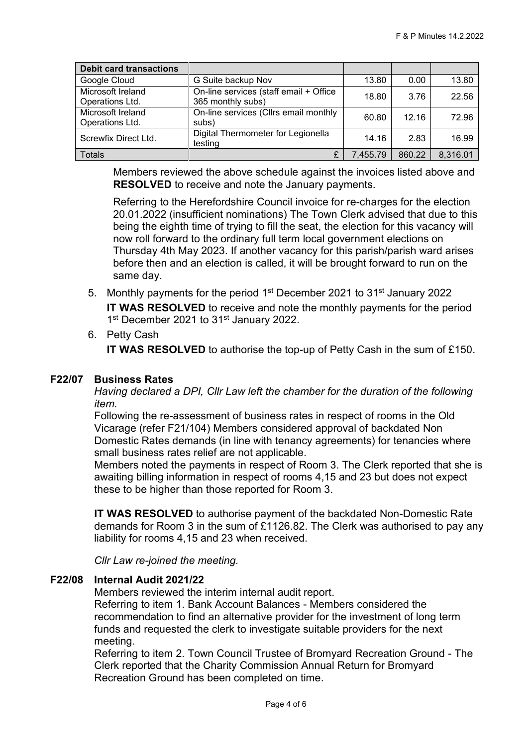| <b>Debit card transactions</b>       |                                                             |          |        |          |
|--------------------------------------|-------------------------------------------------------------|----------|--------|----------|
| Google Cloud                         | G Suite backup Nov                                          | 13.80    | 0.00   | 13.80    |
| Microsoft Ireland<br>Operations Ltd. | On-line services (staff email + Office<br>365 monthly subs) | 18.80    | 3.76   | 22.56    |
| Microsoft Ireland<br>Operations Ltd. | On-line services (Cllrs email monthly<br>subs)              | 60.80    | 12.16  | 72.96    |
| Screwfix Direct Ltd.                 | Digital Thermometer for Legionella<br>testing               | 14.16    | 2.83   | 16.99    |
| <b>Totals</b>                        | £                                                           | 7,455.79 | 860.22 | 8,316.01 |

Members reviewed the above schedule against the invoices listed above and **RESOLVED** to receive and note the January payments.

Referring to the Herefordshire Council invoice for re-charges for the election 20.01.2022 (insufficient nominations) The Town Clerk advised that due to this being the eighth time of trying to fill the seat, the election for this vacancy will now roll forward to the ordinary full term local government elections on Thursday 4th May 2023. If another vacancy for this parish/parish ward arises before then and an election is called, it will be brought forward to run on the same day.

5. Monthly payments for the period 1<sup>st</sup> December 2021 to 31<sup>st</sup> January 2022

**IT WAS RESOLVED** to receive and note the monthly payments for the period 1<sup>st</sup> December 2021 to 31<sup>st</sup> January 2022.

6. Petty Cash

**IT WAS RESOLVED** to authorise the top-up of Petty Cash in the sum of £150.

#### **F22/07 Business Rates**

*Having declared a DPI, Cllr Law left the chamber for the duration of the following item.* 

Following the re-assessment of business rates in respect of rooms in the Old Vicarage (refer F21/104) Members considered approval of backdated Non Domestic Rates demands (in line with tenancy agreements) for tenancies where small business rates relief are not applicable.

Members noted the payments in respect of Room 3. The Clerk reported that she is awaiting billing information in respect of rooms 4,15 and 23 but does not expect these to be higher than those reported for Room 3.

**IT WAS RESOLVED** to authorise payment of the backdated Non-Domestic Rate demands for Room 3 in the sum of £1126.82. The Clerk was authorised to pay any liability for rooms 4,15 and 23 when received.

*Cllr Law re-joined the meeting.*

#### **F22/08 Internal Audit 2021/22**

Members reviewed the interim internal audit report.

Referring to item 1. Bank Account Balances - Members considered the recommendation to find an alternative provider for the investment of long term funds and requested the clerk to investigate suitable providers for the next meeting.

Referring to item 2. Town Council Trustee of Bromyard Recreation Ground - The Clerk reported that the Charity Commission Annual Return for Bromyard Recreation Ground has been completed on time.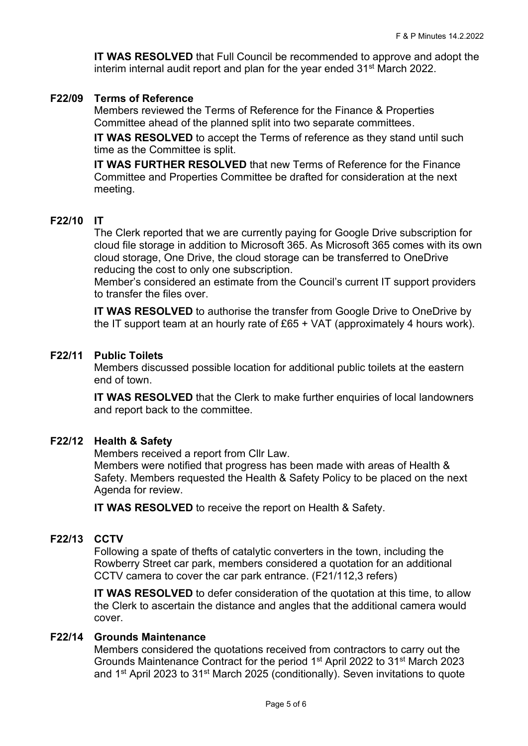**IT WAS RESOLVED** that Full Council be recommended to approve and adopt the interim internal audit report and plan for the year ended 31<sup>st</sup> March 2022.

#### **F22/09 Terms of Reference**

Members reviewed the Terms of Reference for the Finance & Properties Committee ahead of the planned split into two separate committees.

**IT WAS RESOLVED** to accept the Terms of reference as they stand until such time as the Committee is split.

**IT WAS FURTHER RESOLVED** that new Terms of Reference for the Finance Committee and Properties Committee be drafted for consideration at the next meeting.

#### **F22/10 IT**

The Clerk reported that we are currently paying for Google Drive subscription for cloud file storage in addition to Microsoft 365. As Microsoft 365 comes with its own cloud storage, One Drive, the cloud storage can be transferred to OneDrive reducing the cost to only one subscription.

Member's considered an estimate from the Council's current IT support providers to transfer the files over.

**IT WAS RESOLVED** to authorise the transfer from Google Drive to OneDrive by the IT support team at an hourly rate of £65 + VAT (approximately 4 hours work).

#### **F22/11 Public Toilets**

Members discussed possible location for additional public toilets at the eastern end of town.

**IT WAS RESOLVED** that the Clerk to make further enquiries of local landowners and report back to the committee.

#### **F22/12 Health & Safety**

Members received a report from Cllr Law.

Members were notified that progress has been made with areas of Health & Safety. Members requested the Health & Safety Policy to be placed on the next Agenda for review.

**IT WAS RESOLVED** to receive the report on Health & Safety.

### **F22/13 CCTV**

Following a spate of thefts of catalytic converters in the town, including the Rowberry Street car park, members considered a quotation for an additional CCTV camera to cover the car park entrance. (F21/112,3 refers)

**IT WAS RESOLVED** to defer consideration of the quotation at this time, to allow the Clerk to ascertain the distance and angles that the additional camera would cover.

#### **F22/14 Grounds Maintenance**

Members considered the quotations received from contractors to carry out the Grounds Maintenance Contract for the period 1st April 2022 to 31st March 2023 and 1<sup>st</sup> April 2023 to 31<sup>st</sup> March 2025 (conditionally). Seven invitations to quote